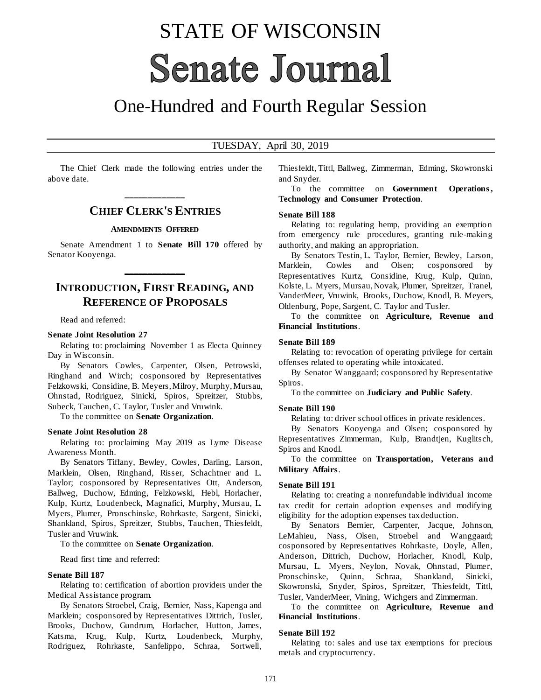# STATE OF WISCONSIN **Senate Journal**

## One-Hundred and Fourth Regular Session

#### TUESDAY, April 30, 2019

The Chief Clerk made the following entries under the above date.

## **\_\_\_\_\_\_\_\_\_\_\_\_\_ CHIEF CLERK'S ENTRIES**

#### **AMENDMENTS OFFERED**

Senate Amendment 1 to **Senate Bill 170** offered by Senator Kooyenga.

**\_\_\_\_\_\_\_\_\_\_\_\_\_**

### **INTRODUCTION, FIRST READING, AND REFERENCE OF PROPOSALS**

Read and referred:

#### **Senate Joint Resolution 27**

Relating to: proclaiming November 1 as Electa Quinney Day in Wisconsin.

By Senators Cowles, Carpenter, Olsen, Petrowski, Ringhand and Wirch; cosponsored by Representatives Felzkowski, Considine, B. Meyers, Milroy, Murphy, Mursau, Ohnstad, Rodriguez, Sinicki, Spiros, Spreitzer, Stubbs, Subeck, Tauchen, C. Taylor, Tusler and Vruwink.

To the committee on **Senate Organization**.

#### **Senate Joint Resolution 28**

Relating to: proclaiming May 2019 as Lyme Disease Awareness Month.

By Senators Tiffany, Bewley, Cowles, Darling, Larson, Marklein, Olsen, Ringhand, Risser, Schachtner and L. Taylor; cosponsored by Representatives Ott, Anderson, Ballweg, Duchow, Edming, Felzkowski, Hebl, Horlacher, Kulp, Kurtz, Loudenbeck, Magnafici, Murphy, Mursau, L. Myers, Plumer, Pronschinske, Rohrkaste, Sargent, Sinicki, Shankland, Spiros, Spreitzer, Stubbs, Tauchen, Thiesfeldt, Tusler and Vruwink.

To the committee on **Senate Organization**.

Read first time and referred:

#### **Senate Bill 187**

Relating to: certification of abortion providers under the Medical Assistance program.

By Senators Stroebel, Craig, Bernier, Nass, Kapenga and Marklein; cosponsored by Representatives Dittrich, Tusler, Brooks, Duchow, Gundrum, Horlacher, Hutton, James, Katsma, Krug, Kulp, Kurtz, Loudenbeck, Murphy, Rodriguez, Rohrkaste, Sanfelippo, Schraa, Sortwell,

Thiesfeldt, Tittl, Ballweg, Zimmerman, Edming, Skowronski and Snyder.

To the committee on **Government Operations , Technology and Consumer Protection**.

#### **Senate Bill 188**

Relating to: regulating hemp, providing an exemption from emergency rule procedures, granting rule-making authority, and making an appropriation.

By Senators Testin, L. Taylor, Bernier, Bewley, Larson, Marklein, Cowles and Olsen; cosponsored by Representatives Kurtz, Considine, Krug, Kulp, Quinn, Kolste, L. Myers, Mursau, Novak, Plumer, Spreitzer, Tranel, VanderMeer, Vruwink, Brooks, Duchow, Knodl, B. Meyers, Oldenburg, Pope, Sargent, C. Taylor and Tusler.

To the committee on **Agriculture, Revenue and Financial Institutions**.

#### **Senate Bill 189**

Relating to: revocation of operating privilege for certain offenses related to operating while intoxicated.

By Senator Wanggaard; cosponsored by Representative Spiros.

To the committee on **Judiciary and Public Safety**.

#### **Senate Bill 190**

Relating to: driver school offices in private residences.

By Senators Kooyenga and Olsen; cosponsored by Representatives Zimmerman, Kulp, Brandtjen, Kuglitsch, Spiros and Knodl.

To the committee on **Transportation, Veterans and Military Affairs**.

#### **Senate Bill 191**

Relating to: creating a nonrefundable individual income tax credit for certain adoption expenses and modifying eligibility for the adoption expenses tax deduction.

By Senators Bernier, Carpenter, Jacque, Johnson, LeMahieu, Nass, Olsen, Stroebel and Wanggaard; cosponsored by Representatives Rohrkaste, Doyle, Allen, Anderson, Dittrich, Duchow, Horlacher, Knodl, Kulp, Mursau, L. Myers, Neylon, Novak, Ohnstad, Plumer, Pronschinske, Quinn, Schraa, Shankland, Sinicki, Skowronski, Snyder, Spiros, Spreitzer, Thiesfeldt, Tittl, Tusler, VanderMeer, Vining, Wichgers and Zimmerman.

To the committee on **Agriculture, Revenue and Financial Institutions**.

#### **Senate Bill 192**

Relating to: sales and use tax exemptions for precious metals and cryptocurrency.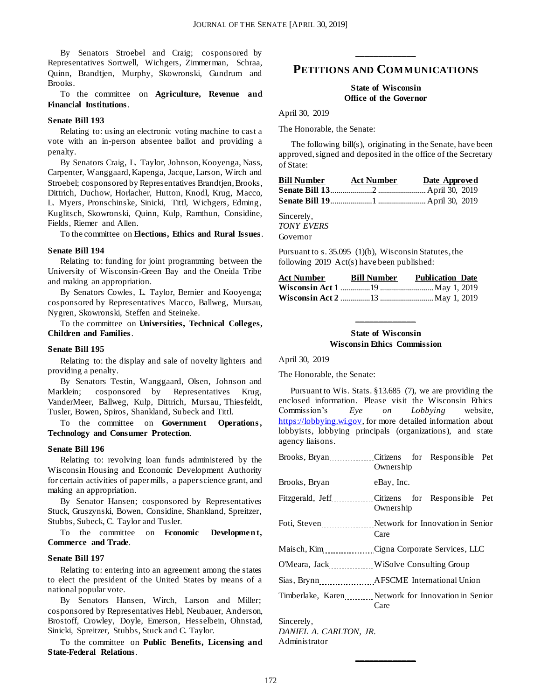By Senators Stroebel and Craig; cosponsored by Representatives Sortwell, Wichgers, Zimmerman, Schraa, Quinn, Brandtjen, Murphy, Skowronski, Gundrum and Brooks.

To the committee on **Agriculture, Revenue and Financial Institutions**.

#### **Senate Bill 193**

Relating to: using an electronic voting machine to cast a vote with an in-person absentee ballot and providing a penalty.

By Senators Craig, L. Taylor, Johnson, Kooyenga, Nass, Carpenter, Wanggaard, Kapenga, Jacque, Larson, Wirch and Stroebel; cosponsored by Representatives Brandtjen, Brooks, Dittrich, Duchow, Horlacher, Hutton, Knodl, Krug, Macco, L. Myers, Pronschinske, Sinicki, Tittl, Wichgers, Edming, Kuglitsch, Skowronski, Quinn, Kulp, Ramthun, Considine, Fields, Riemer and Allen.

To the committee on **Elections, Ethics and Rural Issues**.

#### **Senate Bill 194**

Relating to: funding for joint programming between the University of Wisconsin-Green Bay and the Oneida Tribe and making an appropriation.

By Senators Cowles, L. Taylor, Bernier and Kooyenga; cosponsored by Representatives Macco, Ballweg, Mursau, Nygren, Skowronski, Steffen and Steineke.

To the committee on **Universities, Technical Colleges, Children and Families**.

#### **Senate Bill 195**

Relating to: the display and sale of novelty lighters and providing a penalty.

By Senators Testin, Wanggaard, Olsen, Johnson and Marklein; cosponsored by Representatives Krug, VanderMeer, Ballweg, Kulp, Dittrich, Mursau, Thiesfeldt, Tusler, Bowen, Spiros, Shankland, Subeck and Tittl.

To the committee on **Government Operations**, **Technology and Consumer Protection**.

#### **Senate Bill 196**

Relating to: revolving loan funds administered by the Wisconsin Housing and Economic Development Authority for certain activities of paper mills, a paper science grant, and making an appropriation.

By Senator Hansen; cosponsored by Representatives Stuck, Gruszynski, Bowen, Considine, Shankland, Spreitzer, Stubbs, Subeck, C. Taylor and Tusler.

To the committee on **Economic** Development, **Commerce and Trade**.

#### **Senate Bill 197**

Relating to: entering into an agreement among the states to elect the president of the United States by means of a national popular vote.

By Senators Hansen, Wirch, Larson and Miller; cosponsored by Representatives Hebl, Neubauer, Anderson, Brostoff, Crowley, Doyle, Emerson, Hesselbein, Ohnstad, Sinicki, Spreitzer, Stubbs, Stuck and C. Taylor.

To the committee on **Public Benefits, Licensing and State-Federal Relations**.

## **\_\_\_\_\_\_\_\_\_\_\_\_\_ PETITIONS AND COMMUNICATIONS**

#### **State of Wisconsin Office of the Governor**

April 30, 2019

The Honorable, the Senate:

The following bill(s), originating in the Senate, have been approved, signed and deposited in the office of the Secretary of State:

| Bill Number | <b>Act Number</b> | Date Approved |
|-------------|-------------------|---------------|
|             |                   |               |
|             |                   |               |

Sincerely,

*TONY EVERS* Governor

Pursuant to s. 35.095 (1)(b), Wisconsin Statutes, the following 2019 Act(s) have been published:

| Act Number | <b>Bill Number</b> | <b>Publication Date</b> |  |
|------------|--------------------|-------------------------|--|
|            |                    |                         |  |
|            |                    |                         |  |

#### **State of Wisconsin Wisconsin Ethics Commission**

**\_\_\_\_\_\_\_\_\_\_\_\_\_**

April 30, 2019

The Honorable, the Senate:

Pursuant to Wis. Stats. §13.685 (7), we are providing the enclosed information. Please visit the Wisconsin Ethics Commission's *Eye on Lobbying* website, [https://lobbying.wi.gov,](https://lobbying.wi.gov/) for more detailed information about lobbyists, lobbying principals (organizations), and state agency liaisons.

|                                              | Brooks, Bryan Citizens for Responsible Pet<br>Ownership    |  |
|----------------------------------------------|------------------------------------------------------------|--|
| Brooks, Bryan eBay, Inc.                     |                                                            |  |
|                                              | Fitzgerald, Jeff Citizens for Responsible Pet<br>Ownership |  |
|                                              | Foti, Steven Metwork for Innovation in Senior<br>Care      |  |
|                                              | Maisch, Kim Cigna Corporate Services, LLC                  |  |
|                                              |                                                            |  |
|                                              | Sias, Brynn _______________ AFSCME International Union     |  |
|                                              | Timberlake, Karen Network for Innovation in Senior<br>Care |  |
| $\mathfrak{a}$ $\mathfrak{a}$ $\mathfrak{a}$ |                                                            |  |

**\_\_\_\_\_\_\_\_\_\_\_\_\_**

Sincerely, *DANIEL A. CARLTON, JR.* Administrator